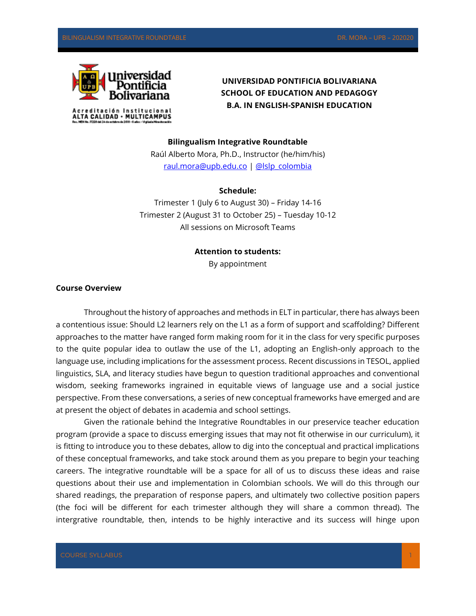

**UNIVERSIDAD PONTIFICIA BOLIVARIANA SCHOOL OF EDUCATION AND PEDAGOGY B.A. IN ENGLISH-SPANISH EDUCATION**

**Bilingualism Integrative Roundtable** Raúl Alberto Mora, Ph.D., Instructor (he/him/his)

[raul.mora@upb.edu.co](mailto:raul.mora@upb.edu.co) | [@lslp\\_colombia](file:///D:/Dropbox/C%20El%20Patron)

### **Schedule:**

Trimester 1 (July 6 to August 30) – Friday 14-16 Trimester 2 (August 31 to October 25) – Tuesday 10-12 All sessions on Microsoft Teams

#### **Attention to students:**

By appointment

## **Course Overview**

Throughout the history of approaches and methods in ELT in particular, there has always been a contentious issue: Should L2 learners rely on the L1 as a form of support and scaffolding? Different approaches to the matter have ranged form making room for it in the class for very specific purposes to the quite popular idea to outlaw the use of the L1, adopting an English-only approach to the language use, including implications for the assessment process. Recent discussions in TESOL, applied linguistics, SLA, and literacy studies have begun to question traditional approaches and conventional wisdom, seeking frameworks ingrained in equitable views of language use and a social justice perspective. From these conversations, a series of new conceptual frameworks have emerged and are at present the object of debates in academia and school settings.

Given the rationale behind the Integrative Roundtables in our preservice teacher education program (provide a space to discuss emerging issues that may not fit otherwise in our curriculum), it is fitting to introduce you to these debates, allow to dig into the conceptual and practical implications of these conceptual frameworks, and take stock around them as you prepare to begin your teaching careers. The integrative roundtable will be a space for all of us to discuss these ideas and raise questions about their use and implementation in Colombian schools. We will do this through our shared readings, the preparation of response papers, and ultimately two collective position papers (the foci will be different for each trimester although they will share a common thread). The intergrative roundtable, then, intends to be highly interactive and its success will hinge upon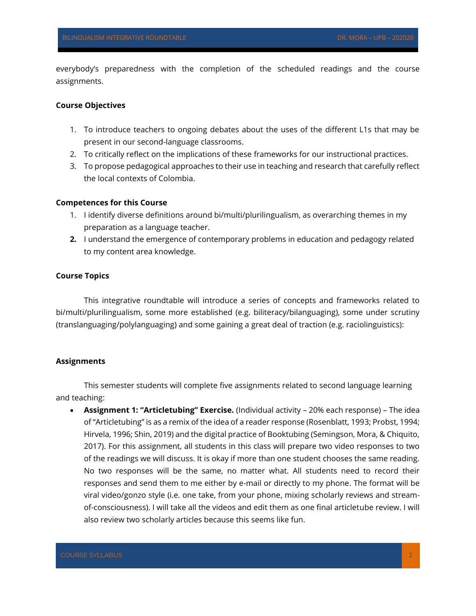everybody's preparedness with the completion of the scheduled readings and the course assignments.

## **Course Objectives**

- 1. To introduce teachers to ongoing debates about the uses of the different L1s that may be present in our second-language classrooms.
- 2. To critically reflect on the implications of these frameworks for our instructional practices.
- 3. To propose pedagogical approaches to their use in teaching and research that carefully reflect the local contexts of Colombia.

## **Competences for this Course**

- 1. I identify diverse definitions around bi/multi/plurilingualism, as overarching themes in my preparation as a language teacher.
- **2.** I understand the emergence of contemporary problems in education and pedagogy related to my content area knowledge.

## **Course Topics**

This integrative roundtable will introduce a series of concepts and frameworks related to bi/multi/plurilingualism, some more established (e.g. biliteracy/bilanguaging), some under scrutiny (translanguaging/polylanguaging) and some gaining a great deal of traction (e.g. raciolinguistics):

## **Assignments**

This semester students will complete five assignments related to second language learning and teaching:

• **Assignment 1: "Articletubing" Exercise.** (Individual activity – 20% each response) – The idea of "Articletubing" is as a remix of the idea of a reader response (Rosenblatt, 1993; Probst, 1994; Hirvela, 1996; Shin, 2019) and the digital practice of Booktubing (Semingson, Mora, & Chiquito, 2017). For this assignment, all students in this class will prepare two video responses to two of the readings we will discuss. It is okay if more than one student chooses the same reading. No two responses will be the same, no matter what. All students need to record their responses and send them to me either by e-mail or directly to my phone. The format will be viral video/gonzo style (i.e. one take, from your phone, mixing scholarly reviews and streamof-consciousness). I will take all the videos and edit them as one final articletube review. I will also review two scholarly articles because this seems like fun.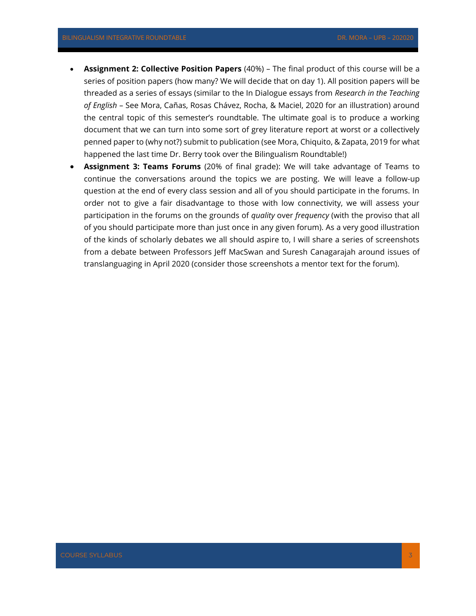- **Assignment 2: Collective Position Papers** (40%) The final product of this course will be a series of position papers (how many? We will decide that on day 1). All position papers will be threaded as a series of essays (similar to the In Dialogue essays from *Research in the Teaching of English* – See Mora, Cañas, Rosas Chávez, Rocha, & Maciel, 2020 for an illustration) around the central topic of this semester's roundtable. The ultimate goal is to produce a working document that we can turn into some sort of grey literature report at worst or a collectively penned paper to (why not?) submit to publication (see Mora, Chiquito, & Zapata, 2019 for what happened the last time Dr. Berry took over the Bilingualism Roundtable!)
- **Assignment 3: Teams Forums** (20% of final grade): We will take advantage of Teams to continue the conversations around the topics we are posting. We will leave a follow-up question at the end of every class session and all of you should participate in the forums. In order not to give a fair disadvantage to those with low connectivity, we will assess your participation in the forums on the grounds of *quality* over *frequency* (with the proviso that all of you should participate more than just once in any given forum). As a very good illustration of the kinds of scholarly debates we all should aspire to, I will share a series of screenshots from a debate between Professors Jeff MacSwan and Suresh Canagarajah around issues of translanguaging in April 2020 (consider those screenshots a mentor text for the forum).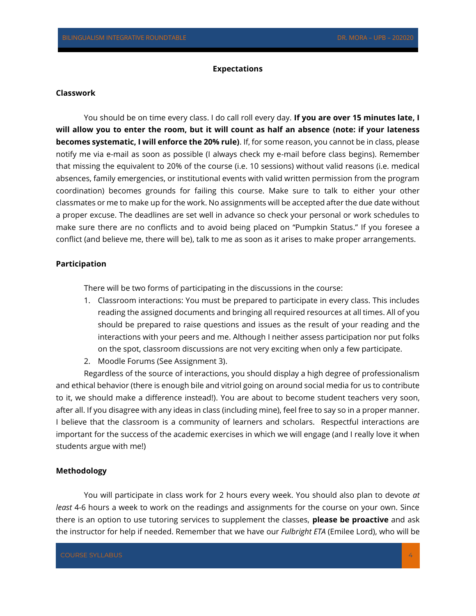#### **Expectations**

#### **Classwork**

You should be on time every class. I do call roll every day. **If you are over 15 minutes late, I will allow you to enter the room, but it will count as half an absence (note: if your lateness becomes systematic, I will enforce the 20% rule)**. If, for some reason, you cannot be in class, please notify me via e-mail as soon as possible (I always check my e-mail before class begins). Remember that missing the equivalent to 20% of the course (i.e. 10 sessions) without valid reasons (i.e. medical absences, family emergencies, or institutional events with valid written permission from the program coordination) becomes grounds for failing this course. Make sure to talk to either your other classmates or me to make up for the work. No assignments will be accepted after the due date without a proper excuse. The deadlines are set well in advance so check your personal or work schedules to make sure there are no conflicts and to avoid being placed on "Pumpkin Status." If you foresee a conflict (and believe me, there will be), talk to me as soon as it arises to make proper arrangements.

### **Participation**

There will be two forms of participating in the discussions in the course:

- 1. Classroom interactions: You must be prepared to participate in every class. This includes reading the assigned documents and bringing all required resources at all times. All of you should be prepared to raise questions and issues as the result of your reading and the interactions with your peers and me. Although I neither assess participation nor put folks on the spot, classroom discussions are not very exciting when only a few participate.
- 2. Moodle Forums (See Assignment 3).

Regardless of the source of interactions, you should display a high degree of professionalism and ethical behavior (there is enough bile and vitriol going on around social media for us to contribute to it, we should make a difference instead!). You are about to become student teachers very soon, after all. If you disagree with any ideas in class (including mine), feel free to say so in a proper manner. I believe that the classroom is a community of learners and scholars. Respectful interactions are important for the success of the academic exercises in which we will engage (and I really love it when students argue with me!)

# **Methodology**

You will participate in class work for 2 hours every week. You should also plan to devote *at least* 4-6 hours a week to work on the readings and assignments for the course on your own. Since there is an option to use tutoring services to supplement the classes, **please be proactive** and ask the instructor for help if needed. Remember that we have our *Fulbright ETA* (Emilee Lord), who will be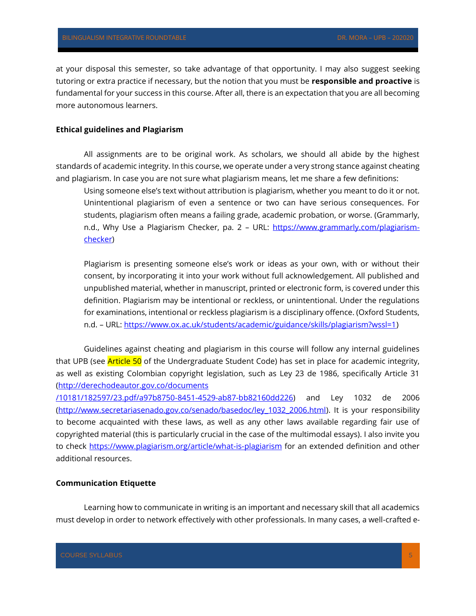at your disposal this semester, so take advantage of that opportunity. I may also suggest seeking tutoring or extra practice if necessary, but the notion that you must be **responsible and proactive** is fundamental for your success in this course. After all, there is an expectation that you are all becoming more autonomous learners.

### **Ethical guidelines and Plagiarism**

All assignments are to be original work. As scholars, we should all abide by the highest standards of academic integrity. In this course, we operate under a very strong stance against cheating and plagiarism. In case you are not sure what plagiarism means, let me share a few definitions:

Using someone else's text without attribution is plagiarism, whether you meant to do it or not. Unintentional plagiarism of even a sentence or two can have serious consequences. For students, plagiarism often means a failing grade, academic probation, or worse. (Grammarly, n.d., Why Use a Plagiarism Checker, pa. 2 - URL: [https://www.grammarly.com/plagiarism](https://www.grammarly.com/plagiarism-checker)[checker\)](https://www.grammarly.com/plagiarism-checker)

Plagiarism is presenting someone else's work or ideas as your own, with or without their consent, by incorporating it into your work without full acknowledgement. All published and unpublished material, whether in manuscript, printed or electronic form, is covered under this definition. Plagiarism may be intentional or reckless, or unintentional. Under the regulations for examinations, intentional or reckless plagiarism is a disciplinary offence. (Oxford Students, n.d. – URL: [https://www.ox.ac.uk/students/academic/guidance/skills/plagiarism?wssl=1\)](https://www.ox.ac.uk/students/academic/guidance/skills/plagiarism?wssl=1)

Guidelines against cheating and plagiarism in this course will follow any internal guidelines that UPB (see **Article 50** of the Undergraduate Student Code) has set in place for academic integrity, as well as existing Colombian copyright legislation, such as Ley 23 de 1986, specifically Article 31 [\(http://derechodeautor.gov.co/documents](http://derechodeautor.gov.co/documents/10181/182597/23.pdf/a97b8750-8451-4529-ab87-bb82160dd226)

[/10181/182597/23.pdf/a97b8750-8451-4529-ab87-bb82160dd226\)](http://derechodeautor.gov.co/documents/10181/182597/23.pdf/a97b8750-8451-4529-ab87-bb82160dd226) and Ley 1032 de 2006 [\(http://www.secretariasenado.gov.co/senado/basedoc/ley\\_1032\\_2006.html\)](http://www.secretariasenado.gov.co/senado/basedoc/ley_1032_2006.html). It is your responsibility to become acquainted with these laws, as well as any other laws available regarding fair use of copyrighted material (this is particularly crucial in the case of the multimodal essays). I also invite you to check<https://www.plagiarism.org/article/what-is-plagiarism> for an extended definition and other additional resources.

## **Communication Etiquette**

Learning how to communicate in writing is an important and necessary skill that all academics must develop in order to network effectively with other professionals. In many cases, a well-crafted e-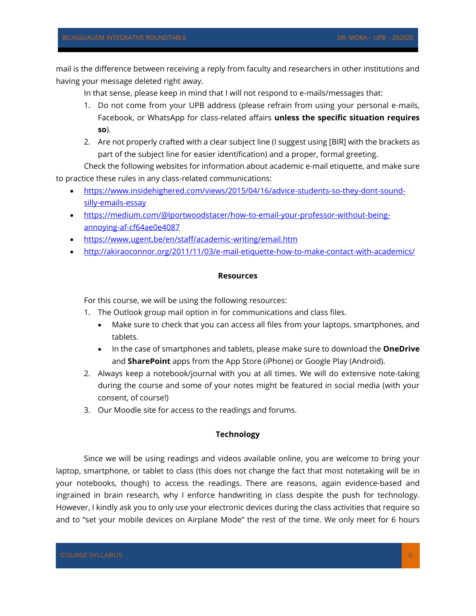mail is the difference between receiving a reply from faculty and researchers in other institutions and having your message deleted right away.

In that sense, please keep in mind that I will not respond to e-mails/messages that:

- 1. Do not come from your UPB address (please refrain from using your personal e-mails, Facebook, or WhatsApp for class-related affairs **unless the specific situation requires so**).
- 2. Are not properly crafted with a clear subject line (I suggest using [BIR] with the brackets as part of the subject line for easier identification) and a proper, formal greeting.

Check the following websites for information about academic e-mail etiquette, and make sure to practice these rules in any class-related communications:

- [https://www.insidehighered.com/views/2015/04/16/advice-students-so-they-dont-sound](https://www.insidehighered.com/views/2015/04/16/advice-students-so-they-dont-sound-silly-emails-essay)[silly-emails-essay](https://www.insidehighered.com/views/2015/04/16/advice-students-so-they-dont-sound-silly-emails-essay)
- [https://medium.com/@lportwoodstacer/how-to-email-your-professor-without-being](https://medium.com/@lportwoodstacer/how-to-email-your-professor-without-being-annoying-af-cf64ae0e4087)[annoying-af-cf64ae0e4087](https://medium.com/@lportwoodstacer/how-to-email-your-professor-without-being-annoying-af-cf64ae0e4087)
- <https://www.ugent.be/en/staff/academic-writing/email.htm>
- <http://akiraoconnor.org/2011/11/03/e-mail-etiquette-how-to-make-contact-with-academics/>

### **Resources**

For this course, we will be using the following resources:

- 1. The Outlook group mail option in for communications and class files.
	- Make sure to check that you can access all files from your laptops, smartphones, and tablets.
	- In the case of smartphones and tablets, please make sure to download the **OneDrive** and **SharePoint** apps from the App Store (iPhone) or Google Play (Android).
- 2. Always keep a notebook/journal with you at all times. We will do extensive note-taking during the course and some of your notes might be featured in social media (with your consent, of course!)
- 3. Our Moodle site for access to the readings and forums.

# **Technology**

Since we will be using readings and videos available online, you are welcome to bring your laptop, smartphone, or tablet to class (this does not change the fact that most notetaking will be in your notebooks, though) to access the readings. There are reasons, again evidence-based and ingrained in brain research, why I enforce handwriting in class despite the push for technology. However, I kindly ask you to only use your electronic devices during the class activities that require so and to "set your mobile devices on Airplane Mode" the rest of the time. We only meet for 6 hours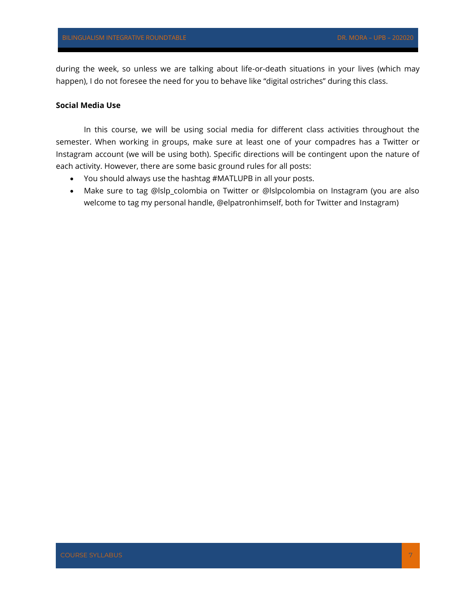during the week, so unless we are talking about life-or-death situations in your lives (which may happen), I do not foresee the need for you to behave like "digital ostriches" during this class.

### **Social Media Use**

In this course, we will be using social media for different class activities throughout the semester. When working in groups, make sure at least one of your compadres has a Twitter or Instagram account (we will be using both). Specific directions will be contingent upon the nature of each activity. However, there are some basic ground rules for all posts:

- You should always use the hashtag #MATLUPB in all your posts.
- Make sure to tag @lslp\_colombia on Twitter or @lslpcolombia on Instagram (you are also welcome to tag my personal handle, @elpatronhimself, both for Twitter and Instagram)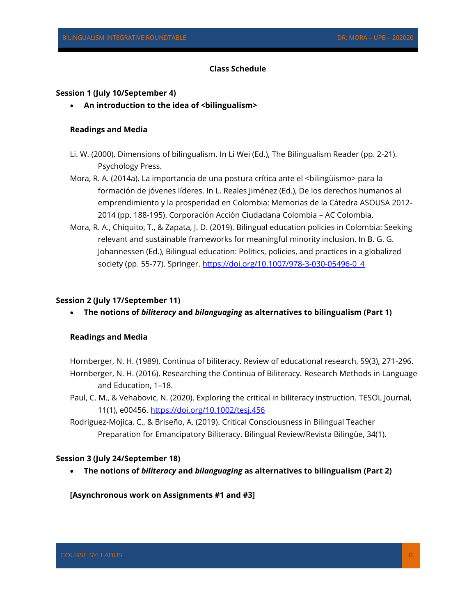### **Class Schedule**

### **Session 1 (July 10/September 4)**

• An introduction to the idea of <br/>bilingualism>

#### **Readings and Media**

- Li. W. (2000). Dimensions of bilingualism. In Li Wei (Ed.), The Bilingualism Reader (pp. 2-21). Psychology Press.
- Mora, R. A. (2014a). La importancia de una postura crítica ante el <bilingüismo> para la formación de jóvenes líderes. In L. Reales Jiménez (Ed.), De los derechos humanos al emprendimiento y la prosperidad en Colombia: Memorias de la Cátedra ASOUSA 2012- 2014 (pp. 188-195). Corporación Acción Ciudadana Colombia – AC Colombia.
- Mora, R. A., Chiquito, T., & Zapata, J. D. (2019). Bilingual education policies in Colombia: Seeking relevant and sustainable frameworks for meaningful minority inclusion. In B. G. G. Johannessen (Ed.), Bilingual education: Politics, policies, and practices in a globalized society (pp. 55-77). Springer. [https://doi.org/10.1007/978-3-030-05496-0\\_4](https://doi.org/10.1007/978-3-030-05496-0_4)

#### **Session 2 (July 17/September 11)**

• **The notions of** *biliteracy* **and** *bilanguaging* **as alternatives to bilingualism (Part 1)**

### **Readings and Media**

Hornberger, N. H. (1989). Continua of biliteracy. Review of educational research, 59(3), 271-296. Hornberger, N. H. (2016). Researching the Continua of Biliteracy. Research Methods in Language and Education, 1–18.

- Paul, C. M., & Vehabovic, N. (2020). Exploring the critical in biliteracy instruction. TESOL Journal, 11(1), e00456.<https://doi.org/10.1002/tesj.456>
- Rodriguez-Mojica, C., & Briseño, A. (2019). Critical Consciousness in Bilingual Teacher Preparation for Emancipatory Biliteracy. Bilingual Review/Revista Bilingüe, 34(1).

### **Session 3 (July 24/September 18)**

• **The notions of** *biliteracy* **and** *bilanguaging* **as alternatives to bilingualism (Part 2)**

### **[Asynchronous work on Assignments #1 and #3]**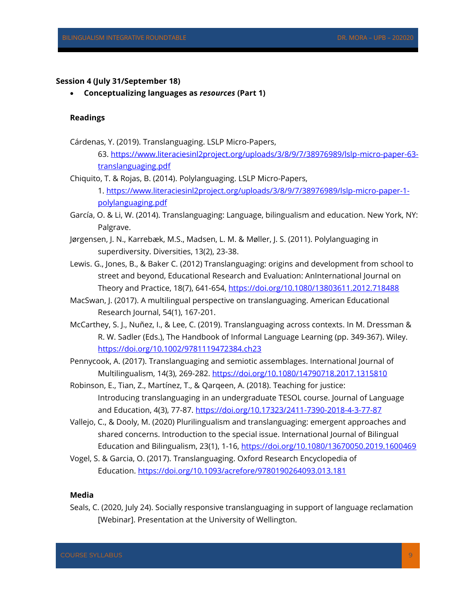### **Session 4 (July 31/September 18)**

• **Conceptualizing languages as** *resources* **(Part 1)**

### **Readings**

- Cárdenas, Y. (2019). Translanguaging. LSLP Micro-Papers,
	- 63. [https://www.literaciesinl2project.org/uploads/3/8/9/7/38976989/lslp-micro-paper-63](https://www.literaciesinl2project.org/uploads/3/8/9/7/38976989/lslp-micro-paper-63-translanguaging.pdf) [translanguaging.pdf](https://www.literaciesinl2project.org/uploads/3/8/9/7/38976989/lslp-micro-paper-63-translanguaging.pdf)
- Chiquito, T. & Rojas, B. (2014). Polylanguaging. LSLP Micro-Papers, 1. [https://www.literaciesinl2project.org/uploads/3/8/9/7/38976989/lslp-micro-paper-1](https://www.literaciesinl2project.org/uploads/3/8/9/7/38976989/lslp-micro-paper-1-polylanguaging.pdf) [polylanguaging.pdf](https://www.literaciesinl2project.org/uploads/3/8/9/7/38976989/lslp-micro-paper-1-polylanguaging.pdf)
- García, O. & Li, W. (2014). Translanguaging: Language, bilingualism and education. New York, NY: Palgrave.
- Jørgensen, J. N., Karrebæk, M.S., Madsen, L. M. & Møller, J. S. (2011). Polylanguaging in superdiversity. Diversities, 13(2), 23-38.
- Lewis. G., Jones, B., & Baker C. (2012) Translanguaging: origins and development from school to street and beyond, Educational Research and Evaluation: AnInternational Journal on Theory and Practice, 18(7), 641-654,<https://doi.org/10.1080/13803611.2012.718488>
- MacSwan, J. (2017). A multilingual perspective on translanguaging. American Educational Research Journal, 54(1), 167-201.
- McCarthey, S. J., Nuñez, I., & Lee, C. (2019). Translanguaging across contexts. In M. Dressman & R. W. Sadler (Eds.), The Handbook of Informal Language Learning (pp. 349-367). Wiley. <https://doi.org/10.1002/9781119472384.ch23>
- Pennycook, A. (2017). Translanguaging and semiotic assemblages. International Journal of Multilingualism, 14(3), 269-282. <https://doi.org/10.1080/14790718.2017.1315810>
- Robinson, E., Tian, Z., Martínez, T., & Qarqeen, A. (2018). Teaching for justice: Introducing translanguaging in an undergraduate TESOL course. Journal of Language and Education, 4(3), 77-87. <https://doi.org/10.17323/2411-7390-2018-4-3-77-87>
- Vallejo, C., & Dooly, M. (2020) Plurilingualism and translanguaging: emergent approaches and shared concerns. Introduction to the special issue. International Journal of Bilingual Education and Bilingualism, 23(1), 1-16,<https://doi.org/10.1080/13670050.2019.1600469>
- Vogel, S. & Garcia, O. (2017). Translanguaging. Oxford Research Encyclopedia of Education. <https://doi.org/10.1093/acrefore/9780190264093.013.181>

### **Media**

Seals, C. (2020, July 24). Socially responsive translanguaging in support of language reclamation [Webinar]. Presentation at the University of Wellington.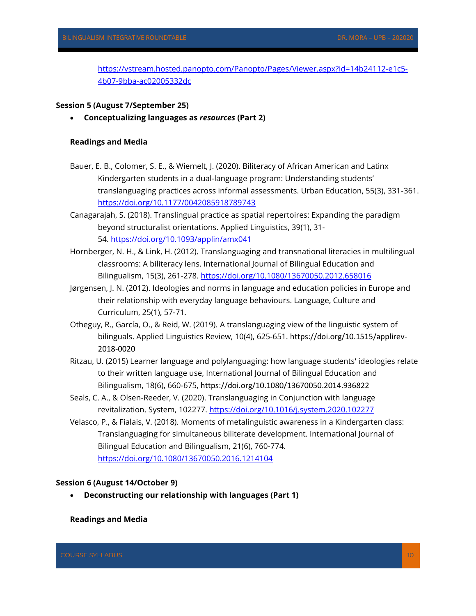[https://vstream.hosted.panopto.com/Panopto/Pages/Viewer.aspx?id=14b24112-e1c5-](https://vstream.hosted.panopto.com/Panopto/Pages/Viewer.aspx?id=14b24112-e1c5-4b07-9bba-ac02005332dc) [4b07-9bba-ac02005332dc](https://vstream.hosted.panopto.com/Panopto/Pages/Viewer.aspx?id=14b24112-e1c5-4b07-9bba-ac02005332dc)

## **Session 5 (August 7/September 25)**

• **Conceptualizing languages as** *resources* **(Part 2)**

## **Readings and Media**

- Bauer, E. B., Colomer, S. E., & Wiemelt, J. (2020). Biliteracy of African American and Latinx Kindergarten students in a dual-language program: Understanding students' translanguaging practices across informal assessments. Urban Education, 55(3), 331-361. <https://doi.org/10.1177/0042085918789743>
- Canagarajah, S. (2018). Translingual practice as spatial repertoires: Expanding the paradigm beyond structuralist orientations. Applied Linguistics, 39(1), 31- 54. <https://doi.org/10.1093/applin/amx041>
- Hornberger, N. H., & Link, H. (2012). Translanguaging and transnational literacies in multilingual classrooms: A biliteracy lens. International Journal of Bilingual Education and Bilingualism, 15(3), 261-278. <https://doi.org/10.1080/13670050.2012.658016>
- Jørgensen, J. N. (2012). Ideologies and norms in language and education policies in Europe and their relationship with everyday language behaviours. Language, Culture and Curriculum, 25(1), 57-71.
- Otheguy, R., García, O., & Reid, W. (2019). A translanguaging view of the linguistic system of bilinguals. Applied Linguistics Review, 10(4), 625-651. [https://doi.org/10.1515/applirev-](https://doi.org/10.1515/applirev-2018-0020)[2018-0020](https://doi.org/10.1515/applirev-2018-0020)
- Ritzau, U. (2015) Learner language and polylanguaging: how language students' ideologies relate to their written language use, International Journal of Bilingual Education and Bilingualism, 18(6), 660-675, <https://doi.org/10.1080/13670050.2014.936822>
- Seals, C. A., & Olsen-Reeder, V. (2020). Translanguaging in Conjunction with language revitalization. System, 102277.<https://doi.org/10.1016/j.system.2020.102277>
- Velasco, P., & Fialais, V. (2018). Moments of metalinguistic awareness in a Kindergarten class: Translanguaging for simultaneous biliterate development. International Journal of Bilingual Education and Bilingualism, 21(6), 760-774. <https://doi.org/10.1080/13670050.2016.1214104>

### **Session 6 (August 14/October 9)**

• **Deconstructing our relationship with languages (Part 1)**

### **Readings and Media**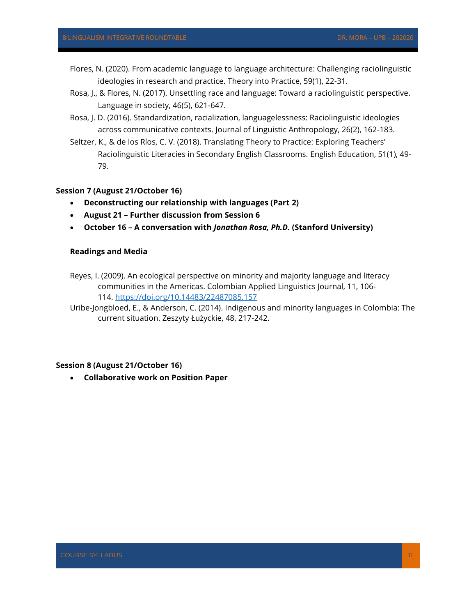- Flores, N. (2020). From academic language to language architecture: Challenging raciolinguistic ideologies in research and practice. Theory into Practice, 59(1), 22-31.
- Rosa, J., & Flores, N. (2017). Unsettling race and language: Toward a raciolinguistic perspective. Language in society, 46(5), 621-647.
- Rosa, J. D. (2016). Standardization, racialization, languagelessness: Raciolinguistic ideologies across communicative contexts. Journal of Linguistic Anthropology, 26(2), 162-183.
- Seltzer, K., & de los Ríos, C. V. (2018). Translating Theory to Practice: Exploring Teachers' Raciolinguistic Literacies in Secondary English Classrooms. English Education, 51(1), 49- 79.

# **Session 7 (August 21/October 16)**

- **Deconstructing our relationship with languages (Part 2)**
- **August 21 – Further discussion from Session 6**
- **October 16 – A conversation with** *Jonathan Rosa, Ph.D.* **(Stanford University)**

## **Readings and Media**

Reyes, I. (2009). An ecological perspective on minority and majority language and literacy communities in the Americas. Colombian Applied Linguistics Journal, 11, 106- 114. <https://doi.org/10.14483/22487085.157>

Uribe-Jongbloed, E., & Anderson, C. (2014). Indigenous and minority languages in Colombia: The current situation. Zeszyty Łużyckie, 48, 217-242.

#### **Session 8 (August 21/October 16)**

• **Collaborative work on Position Paper**